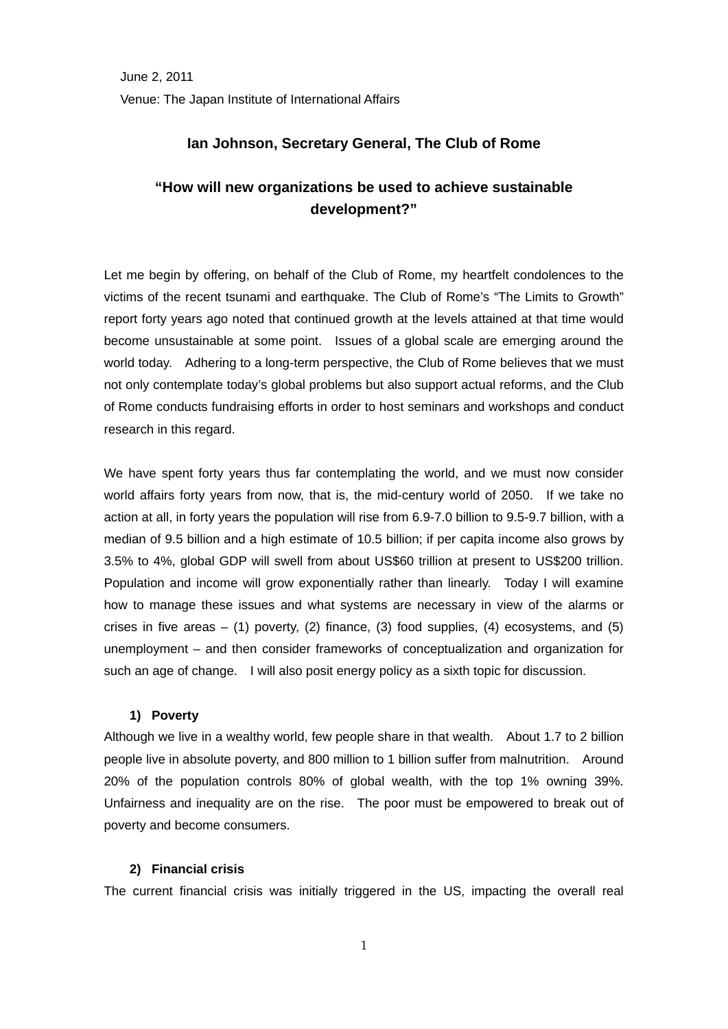## **Ian Johnson, Secretary General, The Club of Rome**

# **"How will new organizations be used to achieve sustainable development?"**

Let me begin by offering, on behalf of the Club of Rome, my heartfelt condolences to the victims of the recent tsunami and earthquake. The Club of Rome's "The Limits to Growth" report forty years ago noted that continued growth at the levels attained at that time would become unsustainable at some point. Issues of a global scale are emerging around the world today. Adhering to a long-term perspective, the Club of Rome believes that we must not only contemplate today's global problems but also support actual reforms, and the Club of Rome conducts fundraising efforts in order to host seminars and workshops and conduct research in this regard.

We have spent forty years thus far contemplating the world, and we must now consider world affairs forty years from now, that is, the mid-century world of 2050. If we take no action at all, in forty years the population will rise from 6.9-7.0 billion to 9.5-9.7 billion, with a median of 9.5 billion and a high estimate of 10.5 billion; if per capita income also grows by 3.5% to 4%, global GDP will swell from about US\$60 trillion at present to US\$200 trillion. Population and income will grow exponentially rather than linearly. Today I will examine how to manage these issues and what systems are necessary in view of the alarms or crises in five areas  $-$  (1) poverty, (2) finance, (3) food supplies, (4) ecosystems, and (5) unemployment – and then consider frameworks of conceptualization and organization for such an age of change. I will also posit energy policy as a sixth topic for discussion.

## **1) Poverty**

Although we live in a wealthy world, few people share in that wealth. About 1.7 to 2 billion people live in absolute poverty, and 800 million to 1 billion suffer from malnutrition. Around 20% of the population controls 80% of global wealth, with the top 1% owning 39%. Unfairness and inequality are on the rise. The poor must be empowered to break out of poverty and become consumers.

## **2) Financial crisis**

The current financial crisis was initially triggered in the US, impacting the overall real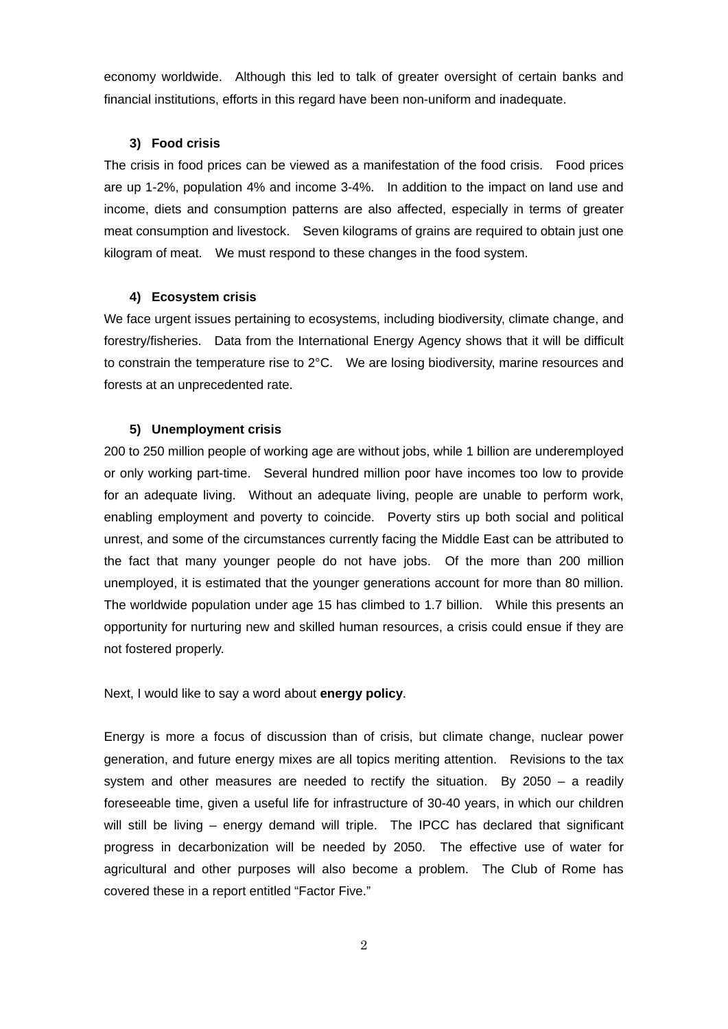economy worldwide. Although this led to talk of greater oversight of certain banks and financial institutions, efforts in this regard have been non-uniform and inadequate.

## **3) Food crisis**

The crisis in food prices can be viewed as a manifestation of the food crisis. Food prices are up 1-2%, population 4% and income 3-4%. In addition to the impact on land use and income, diets and consumption patterns are also affected, especially in terms of greater meat consumption and livestock. Seven kilograms of grains are required to obtain just one kilogram of meat. We must respond to these changes in the food system.

## **4) Ecosystem crisis**

We face urgent issues pertaining to ecosystems, including biodiversity, climate change, and forestry/fisheries. Data from the International Energy Agency shows that it will be difficult to constrain the temperature rise to 2°C. We are losing biodiversity, marine resources and forests at an unprecedented rate.

## **5) Unemployment crisis**

200 to 250 million people of working age are without jobs, while 1 billion are underemployed or only working part-time. Several hundred million poor have incomes too low to provide for an adequate living. Without an adequate living, people are unable to perform work, enabling employment and poverty to coincide. Poverty stirs up both social and political unrest, and some of the circumstances currently facing the Middle East can be attributed to the fact that many younger people do not have jobs. Of the more than 200 million unemployed, it is estimated that the younger generations account for more than 80 million. The worldwide population under age 15 has climbed to 1.7 billion. While this presents an opportunity for nurturing new and skilled human resources, a crisis could ensue if they are not fostered properly.

Next, I would like to say a word about **energy policy**.

Energy is more a focus of discussion than of crisis, but climate change, nuclear power generation, and future energy mixes are all topics meriting attention. Revisions to the tax system and other measures are needed to rectify the situation. By 2050 – a readily foreseeable time, given a useful life for infrastructure of 30-40 years, in which our children will still be living – energy demand will triple. The IPCC has declared that significant progress in decarbonization will be needed by 2050. The effective use of water for agricultural and other purposes will also become a problem. The Club of Rome has covered these in a report entitled "Factor Five."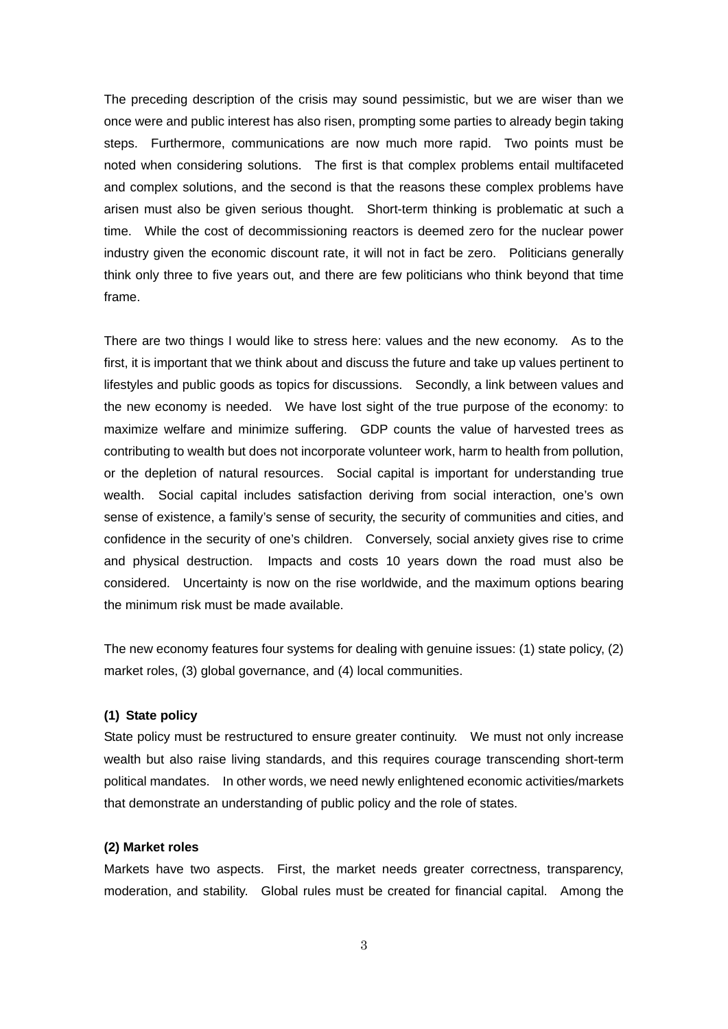The preceding description of the crisis may sound pessimistic, but we are wiser than we once were and public interest has also risen, prompting some parties to already begin taking steps. Furthermore, communications are now much more rapid. Two points must be noted when considering solutions. The first is that complex problems entail multifaceted and complex solutions, and the second is that the reasons these complex problems have arisen must also be given serious thought. Short-term thinking is problematic at such a time. While the cost of decommissioning reactors is deemed zero for the nuclear power industry given the economic discount rate, it will not in fact be zero. Politicians generally think only three to five years out, and there are few politicians who think beyond that time frame.

There are two things I would like to stress here: values and the new economy. As to the first, it is important that we think about and discuss the future and take up values pertinent to lifestyles and public goods as topics for discussions. Secondly, a link between values and the new economy is needed. We have lost sight of the true purpose of the economy: to maximize welfare and minimize suffering. GDP counts the value of harvested trees as contributing to wealth but does not incorporate volunteer work, harm to health from pollution, or the depletion of natural resources. Social capital is important for understanding true wealth. Social capital includes satisfaction deriving from social interaction, one's own sense of existence, a family's sense of security, the security of communities and cities, and confidence in the security of one's children. Conversely, social anxiety gives rise to crime and physical destruction. Impacts and costs 10 years down the road must also be considered. Uncertainty is now on the rise worldwide, and the maximum options bearing the minimum risk must be made available.

The new economy features four systems for dealing with genuine issues: (1) state policy, (2) market roles, (3) global governance, and (4) local communities.

#### **(1) State policy**

State policy must be restructured to ensure greater continuity. We must not only increase wealth but also raise living standards, and this requires courage transcending short-term political mandates. In other words, we need newly enlightened economic activities/markets that demonstrate an understanding of public policy and the role of states.

#### **(2) Market roles**

Markets have two aspects. First, the market needs greater correctness, transparency, moderation, and stability. Global rules must be created for financial capital. Among the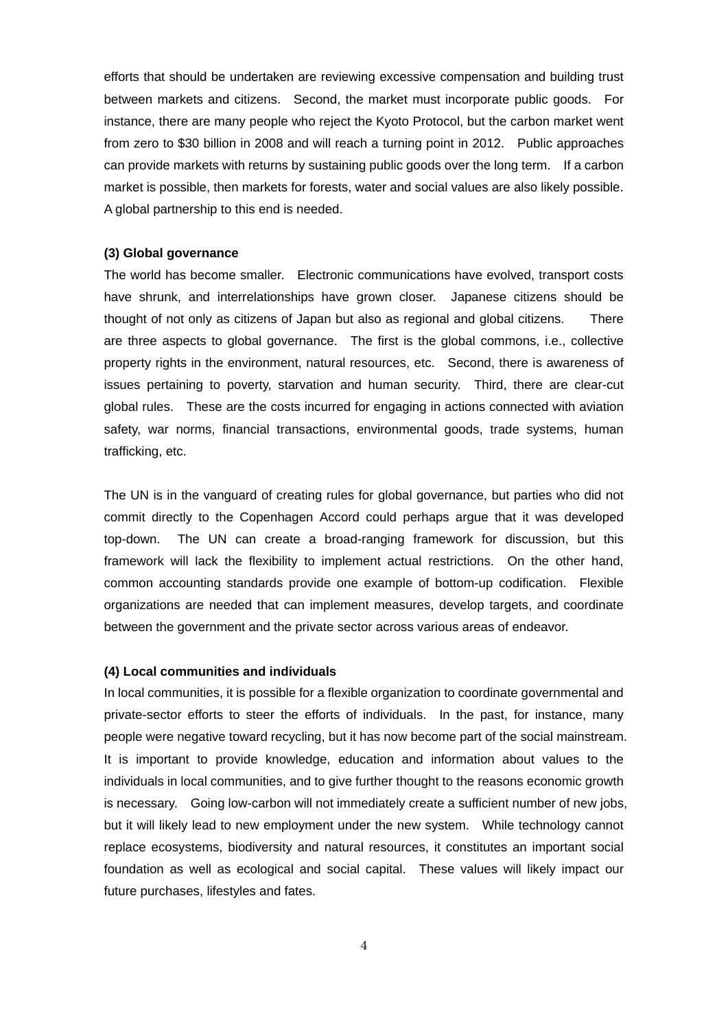efforts that should be undertaken are reviewing excessive compensation and building trust between markets and citizens. Second, the market must incorporate public goods. For instance, there are many people who reject the Kyoto Protocol, but the carbon market went from zero to \$30 billion in 2008 and will reach a turning point in 2012. Public approaches can provide markets with returns by sustaining public goods over the long term. If a carbon market is possible, then markets for forests, water and social values are also likely possible. A global partnership to this end is needed.

#### **(3) Global governance**

The world has become smaller. Electronic communications have evolved, transport costs have shrunk, and interrelationships have grown closer. Japanese citizens should be thought of not only as citizens of Japan but also as regional and global citizens. There are three aspects to global governance. The first is the global commons, i.e., collective property rights in the environment, natural resources, etc. Second, there is awareness of issues pertaining to poverty, starvation and human security. Third, there are clear-cut global rules. These are the costs incurred for engaging in actions connected with aviation safety, war norms, financial transactions, environmental goods, trade systems, human trafficking, etc.

The UN is in the vanguard of creating rules for global governance, but parties who did not commit directly to the Copenhagen Accord could perhaps argue that it was developed top-down. The UN can create a broad-ranging framework for discussion, but this framework will lack the flexibility to implement actual restrictions. On the other hand, common accounting standards provide one example of bottom-up codification. Flexible organizations are needed that can implement measures, develop targets, and coordinate between the government and the private sector across various areas of endeavor.

#### **(4) Local communities and individuals**

In local communities, it is possible for a flexible organization to coordinate governmental and private-sector efforts to steer the efforts of individuals. In the past, for instance, many people were negative toward recycling, but it has now become part of the social mainstream. It is important to provide knowledge, education and information about values to the individuals in local communities, and to give further thought to the reasons economic growth is necessary. Going low-carbon will not immediately create a sufficient number of new jobs, but it will likely lead to new employment under the new system. While technology cannot replace ecosystems, biodiversity and natural resources, it constitutes an important social foundation as well as ecological and social capital. These values will likely impact our future purchases, lifestyles and fates.